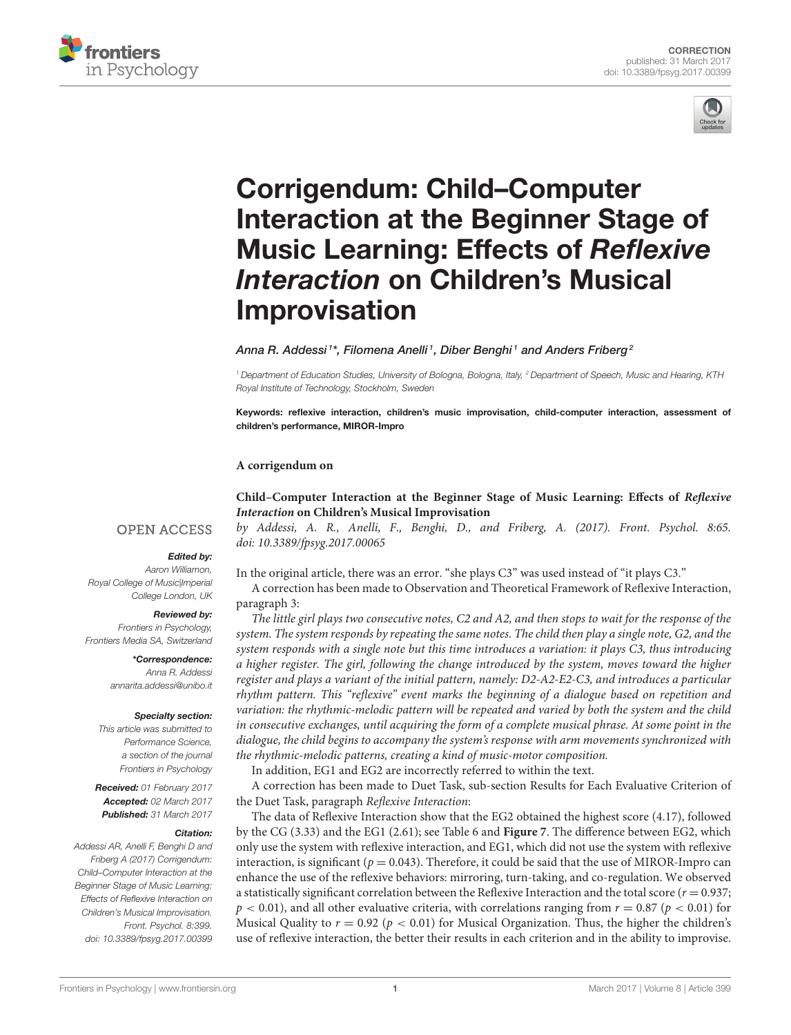



# Corrigendum: Child–Computer [Interaction at the Beginner Stage of](http://journal.frontiersin.org/article/10.3389/fpsyg.2017.00399/full) Music Learning: Effects of Reflexive Interaction on Children's Musical Improvisation

[Anna R. Addessi](http://loop.frontiersin.org/people/131701/overview) $^{\text{1}*}$ , [Filomena Anelli](http://loop.frontiersin.org/people/41365/overview) $^{\text{1}}$ , [Diber Benghi](http://loop.frontiersin.org/people/399862/overview) $^{\text{1}}$  and [Anders Friberg](http://loop.frontiersin.org/people/96100/overview) $^{\text{2}}$ 

*<sup>1</sup> Department of Education Studies, University of Bologna, Bologna, Italy, <sup>2</sup> Department of Speech, Music and Hearing, KTH Royal Institute of Technology, Stockholm, Sweden*

Keywords: reflexive interaction, children's music improvisation, child-computer interaction, assessment of children's performance, MIROR-Impro

## **A corrigendum on**

**[Child–Computer Interaction at the Beginner Stage of Music Learning: Effects of](http://journal.frontiersin.org/article/10.3389/fpsyg.2017.00065/full) Reflexive Interaction on Children's Musical Improvisation**

## **OPEN ACCESS**

## Edited by:

*Aaron Williamon, Royal College of Music|Imperial College London, UK*

#### Reviewed by:

*Frontiers in Psychology, Frontiers Media SA, Switzerland*

> \*Correspondence: *Anna R. Addessi [annarita.addessi@unibo.it](mailto:annarita.addessi@unibo.it)*

#### Specialty section:

*This article was submitted to Performance Science, a section of the journal Frontiers in Psychology*

Received: *01 February 2017* Accepted: *02 March 2017* Published: *31 March 2017*

### Citation:

*Addessi AR, Anelli F, Benghi D and Friberg A (2017) Corrigendum: Child–Computer Interaction at the Beginner Stage of Music Learning: Effects of Reflexive Interaction on Children's Musical Improvisation. Front. Psychol. 8:399. doi: [10.3389/fpsyg.2017.00399](https://doi.org/10.3389/fpsyg.2017.00399)*

by Addessi, A. R., Anelli, F., Benghi, D., and Friberg, A. (2017). Front. Psychol. 8:65. doi: [10.3389/fpsyg.2017.00065](https://doi.org/10.3389/fpsyg.2017.00065)

In the original article, there was an error. "she plays C3" was used instead of "it plays C3."

A correction has been made to Observation and Theoretical Framework of Reflexive Interaction, paragraph 3:

The little girl plays two consecutive notes, C2 and A2, and then stops to wait for the response of the system. The system responds by repeating the same notes. The child then play a single note, G2, and the system responds with a single note but this time introduces a variation: it plays C3, thus introducing a higher register. The girl, following the change introduced by the system, moves toward the higher register and plays a variant of the initial pattern, namely: D2-A2-E2-C3, and introduces a particular rhythm pattern. This "reflexive" event marks the beginning of a dialogue based on repetition and variation: the rhythmic-melodic pattern will be repeated and varied by both the system and the child in consecutive exchanges, until acquiring the form of a complete musical phrase. At some point in the dialogue, the child begins to accompany the system's response with arm movements synchronized with the rhythmic-melodic patterns, creating a kind of music-motor composition.

In addition, EG1 and EG2 are incorrectly referred to within the text.

A correction has been made to Duet Task, sub-section Results for Each Evaluative Criterion of the Duet Task, paragraph Reflexive Interaction:

The data of Reflexive Interaction show that the EG2 obtained the highest score (4.17), followed by the CG (3.33) and the EG1 (2.61); see Table 6 and **Figure 7**. The difference between EG2, which only use the system with reflexive interaction, and EG1, which did not use the system with reflexive interaction, is significant ( $p = 0.043$ ). Therefore, it could be said that the use of MIROR-Impro can enhance the use of the reflexive behaviors: mirroring, turn-taking, and co-regulation. We observed a statistically significant correlation between the Reflexive Interaction and the total score ( $r = 0.937$ ;  $p < 0.01$ ), and all other evaluative criteria, with correlations ranging from  $r = 0.87$  ( $p < 0.01$ ) for Musical Quality to  $r = 0.92$  ( $p < 0.01$ ) for Musical Organization. Thus, the higher the children's use of reflexive interaction, the better their results in each criterion and in the ability to improvise.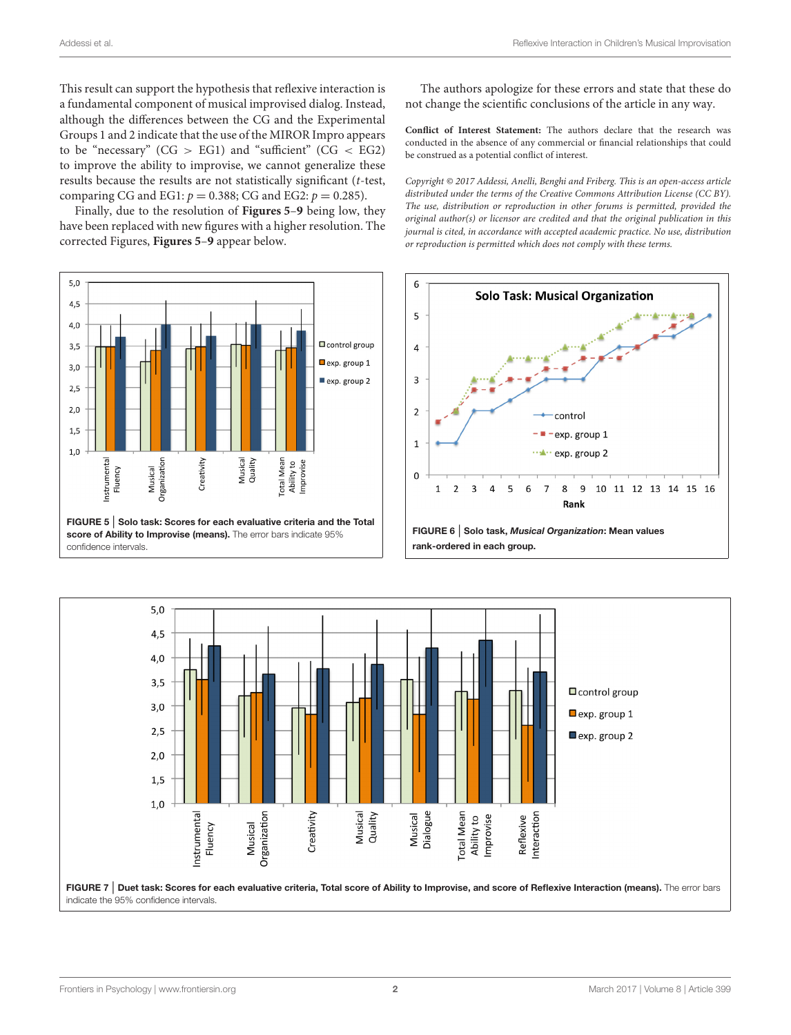This result can support the hypothesis that reflexive interaction is a fundamental component of musical improvised dialog. Instead, although the differences between the CG and the Experimental Groups 1 and 2 indicate that the use of the MIROR Impro appears to be "necessary" ( $CG > EG1$ ) and "sufficient" ( $CG < EG2$ ) to improve the ability to improvise, we cannot generalize these results because the results are not statistically significant (t-test, comparing CG and EG1:  $p = 0.388$ ; CG and EG2:  $p = 0.285$ ).

Finally, due to the resolution of **[Figures 5](#page-2-0)**–**9** being low, they have been replaced with new figures with a higher resolution. The corrected Figures, **[Figures 5](#page-2-0)**–**9** appear below.



The authors apologize for these errors and state that these do not change the scientific conclusions of the article in any way.

**Conflict of Interest Statement:** The authors declare that the research was conducted in the absence of any commercial or financial relationships that could be construed as a potential conflict of interest.

Copyright © 2017 Addessi, Anelli, Benghi and Friberg. This is an open-access article distributed under the terms of the [Creative Commons Attribution License \(CC BY\).](http://creativecommons.org/licenses/by/4.0/) The use, distribution or reproduction in other forums is permitted, provided the original author(s) or licensor are credited and that the original publication in this journal is cited, in accordance with accepted academic practice. No use, distribution or reproduction is permitted which does not comply with these terms.